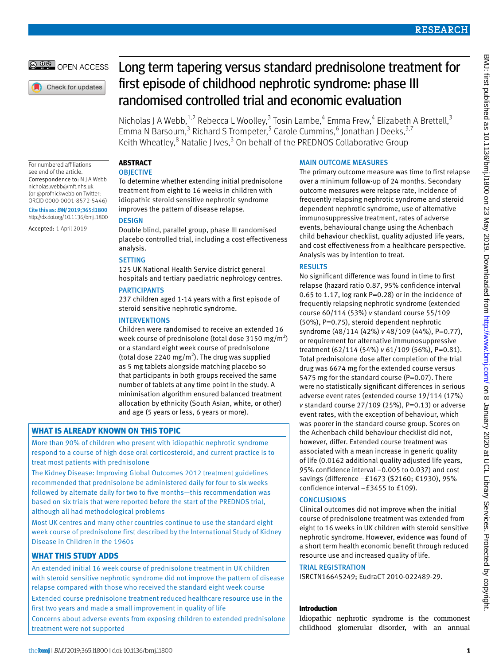# **RESEARCH**

# OPEN ACCESS

Check for updates

# Long term tapering versus standard prednisolone treatment for first episode of childhood nephrotic syndrome: phase III randomised controlled trial and economic evaluation

Nicholas J A Webb,<sup>1,2</sup> Rebecca L Woolley,<sup>3</sup> Tosin Lambe,<sup>4</sup> Emma Frew,<sup>4</sup> Elizabeth A Brettell,<sup>3</sup> Emma N Barsoum,<sup>3</sup> Richard S Trompeter,<sup>5</sup> Carole Cummins,<sup>6</sup> Jonathan J Deeks,<sup>3,7</sup> Keith Wheatley,<sup>8</sup> Natalie J Ives,<sup>3</sup> On behalf of the PREDNOS Collaborative Group

For numbered affiliations see end of the article. Correspondence to: N J A Webb [nicholas.webb@mft.nhs.uk](mailto:nicholas.webb@mft.nhs.uk) (or @profnickwebb on Twitter; ORCID [0000-0001-8572-5446\)](http://orcid.org/0000-0001-8572-5446) Cite this as: *BMJ* 2019;365:l1800 http://dx.doi.org/10.1136/bmj.l1800

Accepted: 1 April 2019

# **ABSTRACT**

# **OBJECTIVE**

To determine whether extending initial prednisolone treatment from eight to 16 weeks in children with idiopathic steroid sensitive nephrotic syndrome improves the pattern of disease relapse.

# **DESIGN**

Double blind, parallel group, phase III randomised placebo controlled trial, including a cost effectiveness analysis.

# **SETTING**

125 UK National Health Service district general hospitals and tertiary paediatric nephrology centres.

# PARTICIPANTS

237 children aged 1-14 years with a first episode of steroid sensitive nephrotic syndrome.

## INTERVENTIONS

Children were randomised to receive an extended 16 week course of prednisolone (total dose 3150 mg/m<sup>2</sup>) or a standard eight week course of prednisolone (total dose 2240 mg/m<sup>2</sup>). The drug was supplied as 5 mg tablets alongside matching placebo so that participants in both groups received the same number of tablets at any time point in the study. A minimisation algorithm ensured balanced treatment allocation by ethnicity (South Asian, white, or other) and age (5 years or less, 6 years or more).

# **WHAT IS ALREADY KNOWN ON THIS TOPIC**

More than 90% of children who present with idiopathic nephrotic syndrome respond to a course of high dose oral corticosteroid, and current practice is to treat most patients with prednisolone

The Kidney Disease: Improving Global Outcomes 2012 treatment guidelines recommended that prednisolone be administered daily for four to six weeks followed by alternate daily for two to five months—this recommendation was based on six trials that were reported before the start of the PREDNOS trial, although all had methodological problems

Most UK centres and many other countries continue to use the standard eight week course of prednisolone first described by the International Study of Kidney Disease in Children in the 1960s

# **WHAT THIS STUDY ADDS**

An extended initial 16 week course of prednisolone treatment in UK children with steroid sensitive nephrotic syndrome did not improve the pattern of disease relapse compared with those who received the standard eight week course Extended course prednisolone treatment reduced healthcare resource use in the first two years and made a small improvement in quality of life

Concerns about adverse events from exposing children to extended prednisolone treatment were not supported

### MAIN OUTCOME MEASURES

The primary outcome measure was time to first relapse over a minimum follow-up of 24 months. Secondary outcome measures were relapse rate, incidence of frequently relapsing nephrotic syndrome and steroid dependent nephrotic syndrome, use of alternative immunosuppressive treatment, rates of adverse events, behavioural change using the Achenbach child behaviour checklist, quality adjusted life years, and cost effectiveness from a healthcare perspective. Analysis was by intention to treat.

# **RESULTS**

No significant difference was found in time to first relapse (hazard ratio 0.87, 95% confidence interval 0.65 to 1.17, log rank P=0.28) or in the incidence of frequently relapsing nephrotic syndrome (extended course 60/114 (53%) *v* standard course 55/109 (50%), P=0.75), steroid dependent nephrotic syndrome (48/114 (42%) *v* 48/109 (44%), P=0.77), or requirement for alternative immunosuppressive treatment (62/114 (54%) *v* 61/109 (56%), P=0.81). Total prednisolone dose after completion of the trial drug was 6674 mg for the extended course versus 5475 mg for the standard course (P=0.07). There were no statistically significant differences in serious adverse event rates (extended course 19/114 (17%) *v* standard course 27/109 (25%), P=0.13) or adverse event rates, with the exception of behaviour, which was poorer in the standard course group. Scores on the Achenbach child behaviour checklist did not, however, differ. Extended course treatment was associated with a mean increase in generic quality of life (0.0162 additional quality adjusted life years, 95% confidence interval −0.005 to 0.037) and cost savings (difference −£1673 (\$2160; €1930), 95% confidence interval −£3455 to £109).

# **CONCLUSIONS**

Clinical outcomes did not improve when the initial course of prednisolone treatment was extended from eight to 16 weeks in UK children with steroid sensitive nephrotic syndrome. However, evidence was found of a short term health economic benefit through reduced resource use and increased quality of life.

#### TRIAL REGISTRATION

ISRCTN16645249; EudraCT 2010-022489-29.

# **Introduction**

Idiopathic nephrotic syndrome is the commonest childhood glomerular disorder, with an annual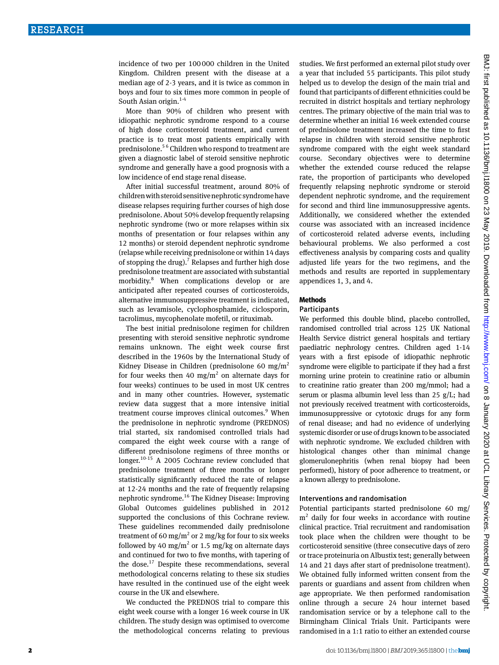incidence of two per 100000 children in the United Kingdom. Children present with the disease at a median age of 2-3 years, and it is twice as common in boys and four to six times more common in people of South Asian origin.<sup>1-4</sup>

More than 90% of children who present with idiopathic nephrotic syndrome respond to a course of high dose corticosteroid treatment, and current practice is to treat most patients empirically with prednisolone.5 6 Children who respond to treatment are given a diagnostic label of steroid sensitive nephrotic syndrome and generally have a good prognosis with a low incidence of end stage renal disease.

After initial successful treatment, around 80% of children with steroid sensitive nephrotic syndrome have disease relapses requiring further courses of high dose prednisolone. About 50% develop frequently relapsing nephrotic syndrome (two or more relapses within six months of presentation or four relapses within any 12 months) or steroid dependent nephrotic syndrome (relapse while receiving prednisolone or within 14 days of stopping the drug).<sup>7</sup> Relapses and further high dose prednisolone treatment are associated with substantial morbidity.8 When complications develop or are anticipated after repeated courses of corticosteroids, alternative immunosuppressive treatment is indicated, such as levamisole, cyclophosphamide, ciclosporin, tacrolimus, mycophenolate mofetil, or rituximab.

The best initial prednisolone regimen for children presenting with steroid sensitive nephrotic syndrome remains unknown. The eight week course first described in the 1960s by the International Study of Kidney Disease in Children (prednisolone 60 mg/m<sup>2</sup> for four weeks then 40  $mg/m^2$  on alternate days for four weeks) continues to be used in most UK centres and in many other countries. However, systematic review data suggest that a more intensive initial treatment course improves clinical outcomes.<sup>9</sup> When the prednisolone in nephrotic syndrome (PREDNOS) trial started, six randomised controlled trials had compared the eight week course with a range of different prednisolone regimens of three months or longer.10-15 A 2005 Cochrane review concluded that prednisolone treatment of three months or longer statistically significantly reduced the rate of relapse at 12-24 months and the rate of frequently relapsing nephrotic syndrome.16 The Kidney Disease: Improving Global Outcomes guidelines published in 2012 supported the conclusions of this Cochrane review. These guidelines recommended daily prednisolone treatment of 60 mg/m<sup>2</sup> or 2 mg/kg for four to six weeks followed by 40 mg/ $m^2$  or 1.5 mg/kg on alternate days and continued for two to five months, with tapering of the dose.<sup>17</sup> Despite these recommendations, several methodological concerns relating to these six studies have resulted in the continued use of the eight week course in the UK and elsewhere.

We conducted the PREDNOS trial to compare this eight week course with a longer 16 week course in UK children. The study design was optimised to overcome the methodological concerns relating to previous studies. We first performed an external pilot study over a year that included 55 participants. This pilot study helped us to develop the design of the main trial and found that participants of different ethnicities could be recruited in district hospitals and tertiary nephrology centres. The primary objective of the main trial was to determine whether an initial 16 week extended course of prednisolone treatment increased the time to first relapse in children with steroid sensitive nephrotic syndrome compared with the eight week standard course. Secondary objectives were to determine whether the extended course reduced the relapse rate, the proportion of participants who developed frequently relapsing nephrotic syndrome or steroid dependent nephrotic syndrome, and the requirement for second and third line immunosuppressive agents. Additionally, we considered whether the extended course was associated with an increased incidence of corticosteroid related adverse events, including behavioural problems. We also performed a cost effectiveness analysis by comparing costs and quality adjusted life years for the two regimens, and the methods and results are reported in supplementary appendices 1, 3, and 4.

#### **Methods**

#### **Participants**

We performed this double blind, placebo controlled, randomised controlled trial across 125 UK National Health Service district general hospitals and tertiary paediatric nephrology centres. Children aged 1-14 years with a first episode of idiopathic nephrotic syndrome were eligible to participate if they had a first morning urine protein to creatinine ratio or albumin to creatinine ratio greater than 200 mg/mmol; had a serum or plasma albumin level less than 25 g/L; had not previously received treatment with corticosteroids, immunosuppressive or cytotoxic drugs for any form of renal disease; and had no evidence of underlying systemic disorder or use of drugs known to be associated with nephrotic syndrome. We excluded children with histological changes other than minimal change glomerulonephritis (when renal biopsy had been performed), history of poor adherence to treatment, or a known allergy to prednisolone.

#### Interventions and randomisation

Potential participants started prednisolone 60 mg/ m2 daily for four weeks in accordance with routine clinical practice. Trial recruitment and randomisation took place when the children were thought to be corticosteroid sensitive (three consecutive days of zero or trace proteinuria on Albustix test; generally between 14 and 21 days after start of prednisolone treatment). We obtained fully informed written consent from the parents or guardians and assent from children when age appropriate. We then performed randomisation online through a secure 24 hour internet based randomisation service or by a telephone call to the Birmingham Clinical Trials Unit. Participants were randomised in a 1:1 ratio to either an extended course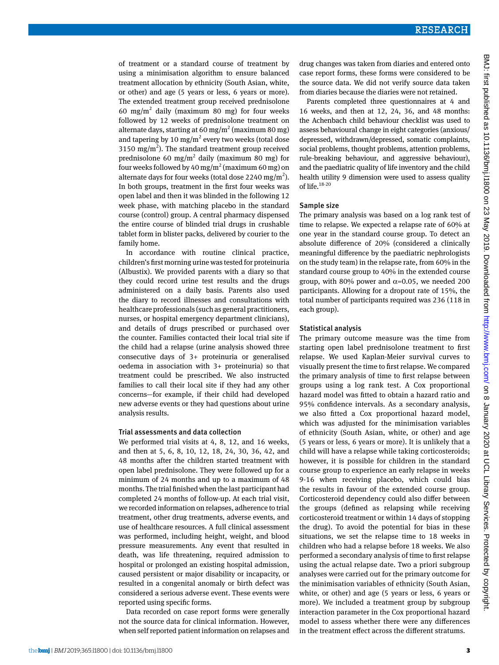of treatment or a standard course of treatment by using a minimisation algorithm to ensure balanced treatment allocation by ethnicity (South Asian, white, or other) and age (5 years or less, 6 years or more). The extended treatment group received prednisolone 60 mg/m<sup>2</sup> daily (maximum 80 mg) for four weeks followed by 12 weeks of prednisolone treatment on alternate days, starting at 60 mg/m<sup>2</sup> (maximum 80 mg) and tapering by 10  $mg/m^2$  every two weeks (total dose 3150 mg/m<sup>2</sup>). The standard treatment group received prednisolone 60 mg/ $m<sup>2</sup>$  daily (maximum 80 mg) for four weeks followed by 40 mg/m<sup>2</sup> (maximum 60 mg) on alternate days for four weeks (total dose 2240 mg/m<sup>2</sup>). In both groups, treatment in the first four weeks was open label and then it was blinded in the following 12 week phase, with matching placebo in the standard course (control) group. A central pharmacy dispensed the entire course of blinded trial drugs in crushable tablet form in blister packs, delivered by courier to the family home.

In accordance with routine clinical practice, children's first morning urine was tested for proteinuria (Albustix). We provided parents with a diary so that they could record urine test results and the drugs administered on a daily basis. Parents also used the diary to record illnesses and consultations with healthcare professionals (such as general practitioners, nurses, or hospital emergency department clinicians), and details of drugs prescribed or purchased over the counter. Families contacted their local trial site if the child had a relapse (urine analysis showed three consecutive days of 3+ proteinuria or generalised oedema in association with 3+ proteinuria) so that treatment could be prescribed. We also instructed families to call their local site if they had any other concerns—for example, if their child had developed new adverse events or they had questions about urine analysis results.

#### Trial assessments and data collection

We performed trial visits at 4, 8, 12, and 16 weeks, and then at 5, 6, 8, 10, 12, 18, 24, 30, 36, 42, and 48 months after the children started treatment with open label prednisolone. They were followed up for a minimum of 24 months and up to a maximum of 48 months. The trial finished when the last participant had completed 24 months of follow-up. At each trial visit, we recorded information on relapses, adherence to trial treatment, other drug treatments, adverse events, and use of healthcare resources. A full clinical assessment was performed, including height, weight, and blood pressure measurements. Any event that resulted in death, was life threatening, required admission to hospital or prolonged an existing hospital admission, caused persistent or major disability or incapacity, or resulted in a congenital anomaly or birth defect was considered a serious adverse event. These events were reported using specific forms.

Data recorded on case report forms were generally not the source data for clinical information. However, when self reported patient information on relapses and drug changes was taken from diaries and entered onto case report forms, these forms were considered to be the source data. We did not verify source data taken from diaries because the diaries were not retained.

Parents completed three questionnaires at 4 and 16 weeks, and then at 12, 24, 36, and 48 months: the Achenbach child behaviour checklist was used to assess behavioural change in eight categories (anxious/ depressed, withdrawn/depressed, somatic complaints, social problems, thought problems, attention problems, rule-breaking behaviour, and aggressive behaviour), and the paediatric quality of life inventory and the child health utility 9 dimension were used to assess quality of life.<sup>18-20</sup>

#### Sample size

The primary analysis was based on a log rank test of time to relapse. We expected a relapse rate of 60% at one year in the standard course group. To detect an absolute difference of 20% (considered a clinically meaningful difference by the paediatric nephrologists on the study team) in the relapse rate, from 60% in the standard course group to 40% in the extended course group, with 80% power and  $\alpha$ =0.05, we needed 200 participants. Allowing for a dropout rate of 15%, the total number of participants required was 236 (118 in each group).

#### Statistical analysis

The primary outcome measure was the time from starting open label prednisolone treatment to first relapse. We used Kaplan-Meier survival curves to visually present the time to first relapse. We compared the primary analysis of time to first relapse between groups using a log rank test. A Cox proportional hazard model was fitted to obtain a hazard ratio and 95% confidence intervals. As a secondary analysis, we also fitted a Cox proportional hazard model, which was adjusted for the minimisation variables of ethnicity (South Asian, white, or other) and age (5 years or less, 6 years or more). It is unlikely that a child will have a relapse while taking corticosteroids; however, it is possible for children in the standard course group to experience an early relapse in weeks 9-16 when receiving placebo, which could bias the results in favour of the extended course group. Corticosteroid dependency could also differ between the groups (defined as relapsing while receiving corticosteroid treatment or within 14 days of stopping the drug). To avoid the potential for bias in these situations, we set the relapse time to 18 weeks in children who had a relapse before 18 weeks. We also performed a secondary analysis of time to first relapse using the actual relapse date. Two a priori subgroup analyses were carried out for the primary outcome for the minimisation variables of ethnicity (South Asian, white, or other) and age (5 years or less, 6 years or more). We included a treatment group by subgroup interaction parameter in the Cox proportional hazard model to assess whether there were any differences in the treatment effect across the different stratums.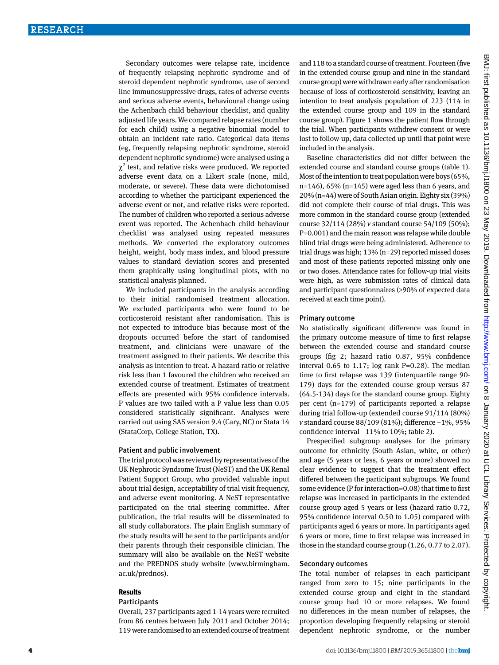Secondary outcomes were relapse rate, incidence of frequently relapsing nephrotic syndrome and of steroid dependent nephrotic syndrome, use of second line immunosuppressive drugs, rates of adverse events and serious adverse events, behavioural change using the Achenbach child behaviour checklist, and quality adjusted life years. We compared relapse rates (number for each child) using a negative binomial model to obtain an incident rate ratio. Categorical data items (eg, frequently relapsing nephrotic syndrome, steroid dependent nephrotic syndrome) were analysed using a  $\chi^2$  test, and relative risks were produced. We reported adverse event data on a Likert scale (none, mild, moderate, or severe). These data were dichotomised according to whether the participant experienced the adverse event or not, and relative risks were reported. The number of children who reported a serious adverse event was reported. The Achenbach child behaviour checklist was analysed using repeated measures methods. We converted the exploratory outcomes height, weight, body mass index, and blood pressure values to standard deviation scores and presented them graphically using longitudinal plots, with no statistical analysis planned.

We included participants in the analysis according to their initial randomised treatment allocation. We excluded participants who were found to be corticosteroid resistant after randomisation. This is not expected to introduce bias because most of the dropouts occurred before the start of randomised treatment, and clinicians were unaware of the treatment assigned to their patients. We describe this analysis as intention to treat. A hazard ratio or relative risk less than 1 favoured the children who received an extended course of treatment. Estimates of treatment effects are presented with 95% confidence intervals. P values are two tailed with a P value less than 0.05 considered statistically significant. Analyses were carried out using SAS version 9.4 (Cary, NC) or Stata 14 (StataCorp, College Station, TX).

#### Patient and public involvement

The trial protocol was reviewed by representatives of the UK Nephrotic Syndrome Trust (NeST) and the UK Renal Patient Support Group, who provided valuable input about trial design, acceptability of trial visit frequency, and adverse event monitoring. A NeST representative participated on the trial steering committee. After publication, the trial results will be disseminated to all study collaborators. The plain English summary of the study results will be sent to the participants and/or their parents through their responsible clinician. The summary will also be available on the NeST website and the PREDNOS study website [\(www.birmingham.](http://www.birmingham.ac.uk/prednos) [ac.uk/prednos\)](http://www.birmingham.ac.uk/prednos).

#### **Results**

#### Participants

Overall, 237 participants aged 1-14 years were recruited from 86 centres between July 2011 and October 2014; 119 were randomised to an extended course of treatment and 118 to a standard course of treatment. Fourteen (five in the extended course group and nine in the standard course group) were withdrawn early after randomisation because of loss of corticosteroid sensitivity, leaving an intention to treat analysis population of 223 (114 in the extended course group and 109 in the standard course group). Figure 1 shows the patient flow through the trial. When participants withdrew consent or were lost to follow-up, data collected up until that point were included in the analysis.

Baseline characteristics did not differ between the extended course and standard course groups (table 1). Most of the intention to treat population were boys (65%,  $n=146$ , 65% ( $n=145$ ) were aged less than 6 years, and 20% (n=44) were of South Asian origin. Eighty six (39%) did not complete their course of trial drugs. This was more common in the standard course group (extended course 32/114 (28%) *v* standard course 54/109 (50%);  $P=0.001$ ) and the main reason was relapse while double blind trial drugs were being administered. Adherence to trial drugs was high; 13% (n=29) reported missed doses and most of these patients reported missing only one or two doses. Attendance rates for follow-up trial visits were high, as were submission rates of clinical data and participant questionnaires (>90% of expected data received at each time point).

#### Primary outcome

No statistically significant difference was found in the primary outcome measure of time to first relapse between the extended course and standard course groups (fig 2; hazard ratio 0.87, 95% confidence interval 0.65 to 1.17; log rank  $P=0.28$ ). The median time to first relapse was 139 (interquartile range 90- 179) days for the extended course group versus 87 (64.5-134) days for the standard course group. Eighty per cent (n=179) of participants reported a relapse during trial follow-up (extended course 91/114 (80%) *v* standard course 88/109 (81%); difference −1%, 95% confidence interval −11% to 10%; table 2).

Prespecified subgroup analyses for the primary outcome for ethnicity (South Asian, white, or other) and age (5 years or less, 6 years or more) showed no clear evidence to suggest that the treatment effect differed between the participant subgroups. We found some evidence (P for interaction=0.08) that time to first relapse was increased in participants in the extended course group aged 5 years or less (hazard ratio 0.72, 95% confidence interval 0.50 to 1.05) compared with participants aged 6 years or more. In participants aged 6 years or more, time to first relapse was increased in those in the standard course group (1.26, 0.77 to 2.07).

#### Secondary outcomes

The total number of relapses in each participant ranged from zero to 15; nine participants in the extended course group and eight in the standard course group had 10 or more relapses. We found no differences in the mean number of relapses, the proportion developing frequently relapsing or steroid dependent nephrotic syndrome, or the number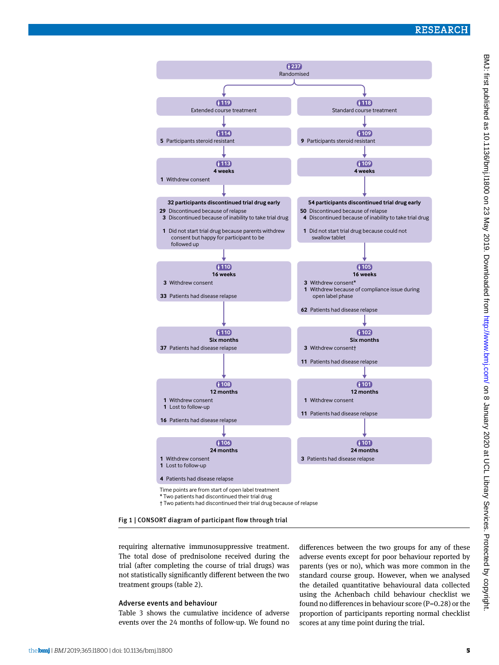# RESEARCH



BMJ: first published as 10.1136/bmj.11800 on 23 May 2019. Downloaded from http://www.bmj.com/ on 8 January 2020 at UCL Library Services. Protected by copyright BMJ: first published as 10.1136/bmj.11800 on 23 May 2019. Downloaded from <http://www.bmj.com/> on 8 January 2020 at UCL Library Services. Protected by copyright.

# Fig 1 | CONSORT diagram of participant flow through trial

requiring alternative immunosuppressive treatment. The total dose of prednisolone received during the trial (after completing the course of trial drugs) was not statistically significantly different between the two treatment groups (table 2).

#### Adverse events and behaviour

Table 3 shows the cumulative incidence of adverse events over the 24 months of follow-up. We found no differences between the two groups for any of these adverse events except for poor behaviour reported by parents (yes or no), which was more common in the standard course group. However, when we analysed the detailed quantitative behavioural data collected using the Achenbach child behaviour checklist we found no differences in behaviour score (P=0.28) or the proportion of participants reporting normal checklist scores at any time point during the trial.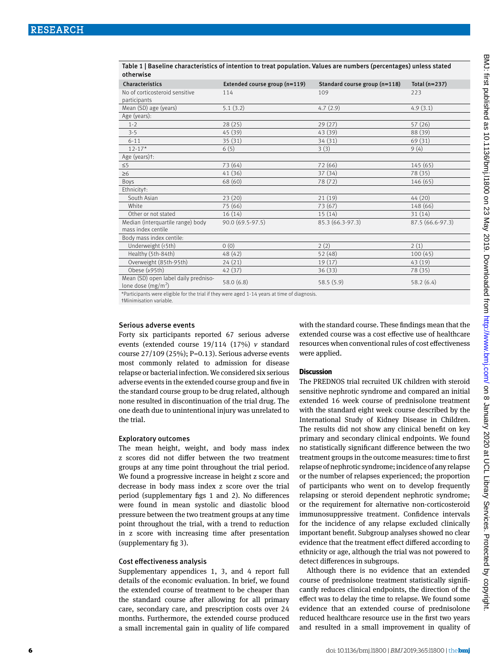Table 1 | Baseline characteristics of intention to treat population. Values are numbers (percentages) unless stated otherwise

| Characteristics                                             | Extended course group (n=119) | Standard course group (n=118) | Total $(n=237)$  |
|-------------------------------------------------------------|-------------------------------|-------------------------------|------------------|
| No of corticosteroid sensitive<br>participants              | 114                           | 109                           | 223              |
| Mean (SD) age (years)                                       | 5.1(3.2)                      | 4.7(2.9)                      | 4.9(3.1)         |
| Age (years):                                                |                               |                               |                  |
| $1 - 2$                                                     | 28(25)                        | 29(27)                        | 57(26)           |
| $3 - 5$                                                     | 45 (39)                       | 43 (39)                       | 88 (39)          |
| $6 - 11$                                                    | 35(31)                        | 34 (31)                       | 69 (31)          |
| $12 - 17*$                                                  | 6(5)                          | 3(3)                          | 9(4)             |
| Age (years)t:                                               |                               |                               |                  |
| $\leq 5$                                                    | 73 (64)                       | 72 (66)                       | 145(65)          |
| $\geq 6$                                                    | 41 (36)                       | 37 (34)                       | 78 (35)          |
| Boys                                                        | 68 (60)                       | 78 (72)                       | 146 (65)         |
| Ethnicityt:                                                 |                               |                               |                  |
| South Asian                                                 | 23(20)                        | 21(19)                        | 44(20)           |
| White                                                       | 75 (66)                       | 73 (67)                       | 148 (66)         |
| Other or not stated                                         | 16(14)                        | 15(14)                        | 31(14)           |
| Median (interquartile range) body                           | 90.0 (69.5-97.5)              | 85.3 (66.3-97.3)              | 87.5 (66.6-97.3) |
| mass index centile                                          |                               |                               |                  |
| Body mass index centile:                                    |                               |                               |                  |
| Underweight (<5th)                                          | 0(0)                          | 2(2)                          | 2(1)             |
| Healthy (5th-84th)                                          | 48 (42)                       | 52(48)                        | 100(45)          |
| Overweight (85th-95th)                                      | 24(21)                        | 19(17)                        | 43 (19)          |
| Obese (≥95th)                                               | 42 (37)                       | 36(33)                        | 78 (35)          |
| Mean (SD) open label daily predniso-<br>lone dose $(mg/m2)$ | 58.0 (6.8)                    | 58.5(5.9)                     | 58.2(6.4)        |
|                                                             |                               |                               |                  |

\*Participants were eligible for the trial if they were aged 1-14 years at time of diagnosis.

†Minimisation variable.

#### Serious adverse events

Forty six participants reported 67 serious adverse events (extended course 19/114 (17%) *v* standard course 27/109 (25%); P=0.13). Serious adverse events most commonly related to admission for disease relapse or bacterial infection. We considered six serious adverse events in the extended course group and five in the standard course group to be drug related, although none resulted in discontinuation of the trial drug. The one death due to unintentional injury was unrelated to the trial.

#### Exploratory outcomes

The mean height, weight, and body mass index z scores did not differ between the two treatment groups at any time point throughout the trial period. We found a progressive increase in height z score and decrease in body mass index z score over the trial period (supplementary figs 1 and 2). No differences were found in mean systolic and diastolic blood pressure between the two treatment groups at any time point throughout the trial, with a trend to reduction in z score with increasing time after presentation (supplementary fig 3).

#### Cost effectiveness analysis

Supplementary appendices 1, 3, and 4 report full details of the economic evaluation. In brief, we found the extended course of treatment to be cheaper than the standard course after allowing for all primary care, secondary care, and prescription costs over 24 months. Furthermore, the extended course produced a small incremental gain in quality of life compared with the standard course. These findings mean that the extended course was a cost effective use of healthcare resources when conventional rules of cost effectiveness were applied.

#### **Discussion**

The PREDNOS trial recruited UK children with steroid sensitive nephrotic syndrome and compared an initial extended 16 week course of prednisolone treatment with the standard eight week course described by the International Study of Kidney Disease in Children. The results did not show any clinical benefit on key primary and secondary clinical endpoints. We found no statistically significant difference between the two treatment groups in the outcome measures: time to first relapse of nephrotic syndrome; incidence of any relapse or the number of relapses experienced; the proportion of participants who went on to develop frequently relapsing or steroid dependent nephrotic syndrome; or the requirement for alternative non-corticosteroid immunosuppressive treatment. Confidence intervals for the incidence of any relapse excluded clinically important benefit. Subgroup analyses showed no clear evidence that the treatment effect differed according to ethnicity or age, although the trial was not powered to detect differences in subgroups.

Although there is no evidence that an extended course of prednisolone treatment statistically significantly reduces clinical endpoints, the direction of the effect was to delay the time to relapse. We found some evidence that an extended course of prednisolone reduced healthcare resource use in the first two years and resulted in a small improvement in quality of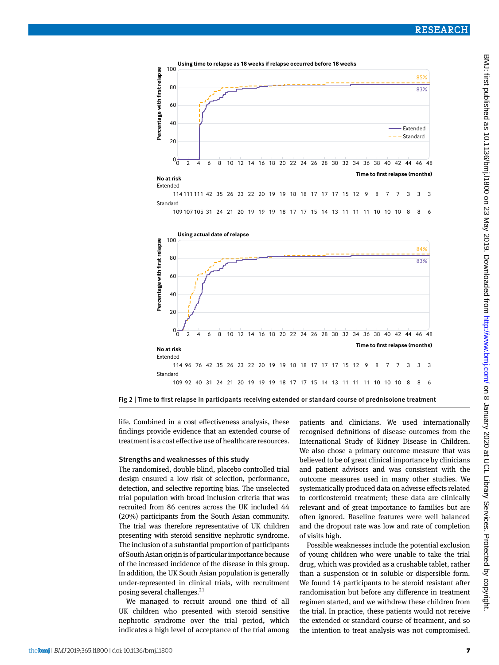

life. Combined in a cost effectiveness analysis, these findings provide evidence that an extended course of treatment is a cost effective use of healthcare resources.

#### Strengths and weaknesses of this study

The randomised, double blind, placebo controlled trial design ensured a low risk of selection, performance, detection, and selective reporting bias. The unselected trial population with broad inclusion criteria that was recruited from 86 centres across the UK included 44 (20%) participants from the South Asian community. The trial was therefore representative of UK children presenting with steroid sensitive nephrotic syndrome. The inclusion of a substantial proportion of participants of South Asian origin is of particular importance because of the increased incidence of the disease in this group. In addition, the UK South Asian population is generally under-represented in clinical trials, with recruitment posing several challenges.<sup>21</sup>

We managed to recruit around one third of all UK children who presented with steroid sensitive nephrotic syndrome over the trial period, which indicates a high level of acceptance of the trial among patients and clinicians. We used internationally recognised definitions of disease outcomes from the International Study of Kidney Disease in Children. We also chose a primary outcome measure that was believed to be of great clinical importance by clinicians and patient advisors and was consistent with the outcome measures used in many other studies. We systematically produced data on adverse effects related to corticosteroid treatment; these data are clinically relevant and of great importance to families but are often ignored. Baseline features were well balanced and the dropout rate was low and rate of completion of visits high.

Possible weaknesses include the potential exclusion of young children who were unable to take the trial drug, which was provided as a crushable tablet, rather than a suspension or in soluble or dispersible form. We found 14 participants to be steroid resistant after randomisation but before any difference in treatment regimen started, and we withdrew these children from the trial. In practice, these patients would not receive the extended or standard course of treatment, and so the intention to treat analysis was not compromised.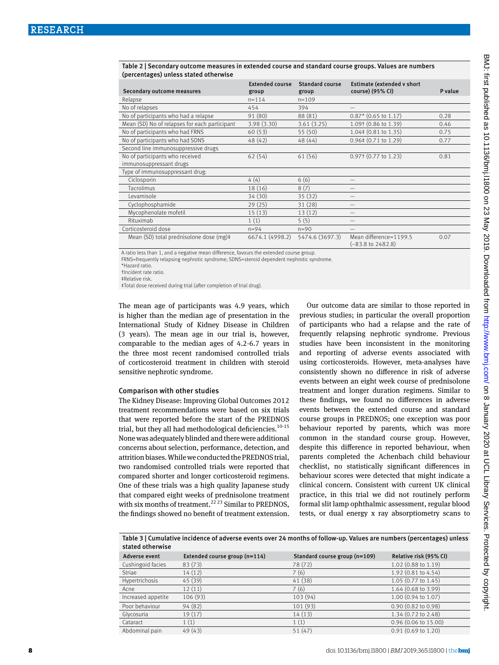#### Table 2 | Secondary outcome measures in extended course and standard course groups. Values are numbers (percentages) unless stated otherwise

| Secondary outcome measures                    | <b>Extended course</b><br>group | <b>Standard course</b><br>group | Estimate (extended v short<br>course) (95% CI)         | P value |
|-----------------------------------------------|---------------------------------|---------------------------------|--------------------------------------------------------|---------|
| Relapse                                       | $n = 114$                       | $n = 109$                       |                                                        |         |
| No of relapses                                | 454                             | 394                             |                                                        |         |
| No of participants who had a relapse          | 91 (80)                         | 88 (81)                         | $0.87*$ (0.65 to 1.17)                                 | 0.28    |
| Mean (SD) No of relapses for each participant | 3.98(3.30)                      | 3.61(3.25)                      | 1.09† (0.86 to 1.39)                                   | 0.46    |
| No of participants who had FRNS               | 60(53)                          | 55 (50)                         | $1.04\pm(0.81$ to $1.35)$                              | 0.75    |
| No of participants who had SDNS               | 48 (42)                         | 48(44)                          | $0.96\pm(0.71$ to 1.29)                                | 0.77    |
| Second line immunosuppressive drugs           |                                 |                                 |                                                        |         |
| No of participants who received               | 62(54)                          | 61 (56)                         | 0.97 f (0.77 to 1.23)                                  | 0.81    |
| immunosuppressant drugs                       |                                 |                                 |                                                        |         |
| Type of immunosuppressant drug:               |                                 |                                 |                                                        |         |
| Ciclosporin                                   | 4(4)                            | 6(6)                            |                                                        |         |
| Tacrolimus                                    | 18(16)                          | 8(7)                            |                                                        |         |
| Levamisole                                    | 34 (30)                         | 35(32)                          |                                                        |         |
| Cyclophosphamide                              | 29(25)                          | 31(28)                          |                                                        |         |
| Mycophenolate mofetil                         | 15(13)                          | 13(12)                          |                                                        |         |
| Rituximab                                     | 1(1)                            | 5(5)                            |                                                        |         |
| Corticosteroid dose                           | $n = 94$                        | $n = 90$                        |                                                        |         |
| Mean (SD) total prednisolone dose (mg)#       | 6674.1 (4998.2)                 | 5474.6 (3697.3)                 | Mean difference=1199.5<br>$(-83.8 \text{ to } 2482.8)$ | 0.07    |

A ratio less than 1, and a negative mean difference, favours the extended course group.

FRNS=frequently relapsing nephrotic syndrome; SDNS=steroid dependent nephrotic syndrome.

\*Hazard ratio.

†Incident rate ratio.

‡Relative risk.

‡Total dose received during trial (after completion of trial drug).

The mean age of participants was 4.9 years, which is higher than the median age of presentation in the International Study of Kidney Disease in Children (3 years). The mean age in our trial is, however, comparable to the median ages of 4.2-6.7 years in the three most recent randomised controlled trials of corticosteroid treatment in children with steroid sensitive nephrotic syndrome.

#### Comparison with other studies

The Kidney Disease: Improving Global Outcomes 2012 treatment recommendations were based on six trials that were reported before the start of the PREDNOS trial, but they all had methodological deficiencies.<sup>10-15</sup> None was adequately blinded and there were additional concerns about selection, performance, detection, and attrition biases. While we conducted the PREDNOS trial, two randomised controlled trials were reported that compared shorter and longer corticosteroid regimens. One of these trials was a high quality Japanese study that compared eight weeks of prednisolone treatment with six months of treatment.<sup>22 23</sup> Similar to PREDNOS, the findings showed no benefit of treatment extension.

Our outcome data are similar to those reported in previous studies; in particular the overall proportion of participants who had a relapse and the rate of frequently relapsing nephrotic syndrome. Previous studies have been inconsistent in the monitoring and reporting of adverse events associated with using corticosteroids. However, meta-analyses have consistently shown no difference in risk of adverse events between an eight week course of prednisolone treatment and longer duration regimens. Similar to these findings, we found no differences in adverse events between the extended course and standard course groups in PREDNOS; one exception was poor behaviour reported by parents, which was more common in the standard course group. However, despite this difference in reported behaviour, when parents completed the Achenbach child behaviour checklist, no statistically significant differences in behaviour scores were detected that might indicate a clinical concern. Consistent with current UK clinical practice, in this trial we did not routinely perform formal slit lamp ophthalmic assessment, regular blood tests, or dual energy x ray absorptiometry scans to

Table 3 | Cumulative incidence of adverse events over 24 months of follow-up. Values are numbers (percentages) unless stated otherwise

| Adverse event      | Extended course group (n=114) | Standard course group (n=109) | Relative risk (95% CI) |
|--------------------|-------------------------------|-------------------------------|------------------------|
| Cushingoid facies  | 83(73)                        | 78 (72)                       | 1.02 (0.88 to 1.19)    |
| Striae             | 14(12)                        | 7(6)                          | 1.92 (0.81 to 4.54)    |
| Hypertrichosis     | 45 (39)                       | 41(38)                        | 1.05 (0.77 to 1.45)    |
| Acne               | 12(11)                        | 7(6)                          | 1.64 (0.68 to 3.99)    |
| Increased appetite | 106(93)                       | 103(94)                       | 1.00 (0.94 to 1.07)    |
| Poor behaviour     | 94(82)                        | 101(93)                       | 0.90 (0.82 to 0.98)    |
| Glycosuria         | 19(17)                        | 14(13)                        | 1.34 (0.72 to 2.48)    |
| Cataract           | 1(1)                          | 1(1)                          | 0.96 (0.06 to 15.00)   |
| Abdominal pain     | 49(43)                        | 51(47)                        | $0.91$ (0.69 to 1.20)  |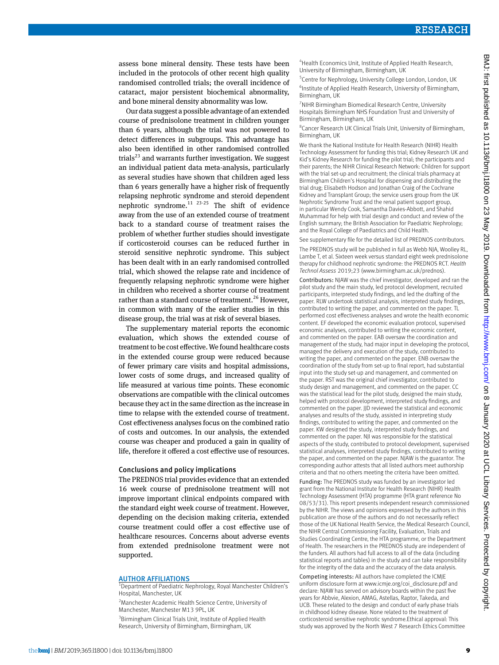assess bone mineral density. These tests have been included in the protocols of other recent high quality randomised controlled trials; the overall incidence of cataract, major persistent biochemical abnormality, and bone mineral density abnormality was low.

Our data suggest a possible advantage of an extended course of prednisolone treatment in children younger than 6 years, although the trial was not powered to detect differences in subgroups. This advantage has also been identified in other randomised controlled trials $^{23}$  and warrants further investigation. We suggest an individual patient data meta-analysis, particularly as several studies have shown that children aged less than 6 years generally have a higher risk of frequently relapsing nephrotic syndrome and steroid dependent nephrotic syndrome.<sup>11 23-25</sup> The shift of evidence away from the use of an extended course of treatment back to a standard course of treatment raises the problem of whether further studies should investigate if corticosteroid courses can be reduced further in steroid sensitive nephrotic syndrome. This subject has been dealt with in an early randomised controlled trial, which showed the relapse rate and incidence of frequently relapsing nephrotic syndrome were higher in children who received a shorter course of treatment rather than a standard course of treatment.<sup>26</sup> However, in common with many of the earlier studies in this disease group, the trial was at risk of several biases.

The supplementary material reports the economic evaluation, which shows the extended course of treatment to be cost effective. We found healthcare costs in the extended course group were reduced because of fewer primary care visits and hospital admissions, lower costs of some drugs, and increased quality of life measured at various time points. These economic observations are compatible with the clinical outcomes because they act in the same direction as the increase in time to relapse with the extended course of treatment. Cost effectiveness analyses focus on the combined ratio of costs and outcomes. In our analysis, the extended course was cheaper and produced a gain in quality of life, therefore it offered a cost effective use of resources.

#### Conclusions and policy implications

The PREDNOS trial provides evidence that an extended 16 week course of prednisolone treatment will not improve important clinical endpoints compared with the standard eight week course of treatment. However, depending on the decision making criteria, extended course treatment could offer a cost effective use of healthcare resources. Concerns about adverse events from extended prednisolone treatment were not supported.

#### AUTHOR AFFILIATIONS

<sup>1</sup>Department of Paediatric Nephrology, Royal Manchester Children's Hospital, Manchester, UK

<sup>2</sup> Manchester Academic Health Science Centre, University of Manchester, Manchester M13 9PL, UK

<sup>3</sup> Birmingham Clinical Trials Unit, Institute of Applied Health Research, University of Birmingham, Birmingham, UK

4 Health Economics Unit, Institute of Applied Health Research, University of Birmingham, Birmingham, UK

<sup>5</sup> Centre for Nephrology, University College London, London, UK 6 Institute of Applied Health Research, University of Birmingham, Birmingham, UK

7 NIHR Birmingham Biomedical Research Centre, University Hospitals Birmingham NHS Foundation Trust and University of Birmingham, Birmingham, UK

8 Cancer Research UK Clinical Trials Unit, University of Birmingham, Birmingham, UK

We thank the National Institute for Health Research (NIHR) Health Technology Assessment for funding this trial; Kidney Research UK and Kid's Kidney Research for funding the pilot trial; the participants and their parents; the NIHR Clinical Research Network: Children for support with the trial set-up and recruitment; the clinical trials pharmacy at Birmingham Children's Hospital for dispensing and distributing the trial drug; Elisabeth Hodson and Jonathan Craig of the Cochrane Kidney and Transplant Group; the service users group from the UK Nephrotic Syndrome Trust and the renal patient support group, in particular Wendy Cook, Samantha Davies-Abbott, and Shahid Muhammad for help with trial design and conduct and review of the English summary; the British Association for Paediatric Nephrology; and the Royal College of Paediatrics and Child Health.

See supplementary file for the detailed list of PREDNOS contributors.

The PREDNOS study will be published in full as Webb NJA, Woolley RL, Lambe T, et al. Sixteen week versus standard eight week prednisolone therapy for childhood nephrotic syndrome: the PREDNOS RCT. *Health Technol Assess* 2019;23 [\(www.birmingham.ac.uk/prednos](http://www.birmingham.ac.uk/prednos)).

Contributors: NJAW was the chief investigator, developed and ran the pilot study and the main study, led protocol development, recruited participants, interpreted study findings, and led the drafting of the paper. RLW undertook statistical analysis, interpreted study findings, contributed to writing the paper, and commented on the paper. TL performed cost effectiveness analyses and wrote the health economic content. EF developed the economic evaluation protocol, supervised economic analyses, contributed to writing the economic content, and commented on the paper. EAB oversaw the coordination and management of the study, had major input in developing the protocol, managed the delivery and execution of the study, contributed to writing the paper, and commented on the paper. ENB oversaw the coordination of the study from set-up to final report, had substantial input into the study set-up and management, and commented on the paper. RST was the original chief investigator, contributed to study design and management, and commented on the paper. CC was the statistical lead for the pilot study, designed the main study, helped with protocol development, interpreted study findings, and commented on the paper. IID reviewed the statistical and economic analyses and results of the study, assisted in interpreting study findings, contributed to writing the paper, and commented on the paper. KW designed the study, interpreted study findings, and commented on the paper. NJI was responsible for the statistical aspects of the study, contributed to protocol development, supervised statistical analyses, interpreted study findings, contributed to writing the paper, and commented on the paper. NJAW is the guarantor. The corresponding author attests that all listed authors meet authorship criteria and that no others meeting the criteria have been omitted.

Funding: The PREDNOS study was funded by an investigator led grant from the National Institute for Health Research (NIHR) Health Technology Assessment (HTA) programme (HTA grant reference No 08/53/31). This report presents independent research commissioned by the NIHR. The views and opinions expressed by the authors in this publication are those of the authors and do not necessarily reflect those of the UK National Health Service, the Medical Research Council, the NIHR Central Commissioning Facility, Evaluation, Trials and Studies Coordinating Centre, the HTA programme, or the Department of Health. The researchers in the PREDNOS study are independent of the funders. All authors had full access to all of the data (including statistical reports and tables) in the study and can take responsibility for the integrity of the data and the accuracy of the data analysis.

Competing interests: All authors have completed the ICMJE uniform disclosure form at [www.icmje.org/coi\\_disclosure.pdf](http://www.icmje.org/coi_disclosure.pdf) and declare: NJAW has served on advisory boards within the past five years for Abbvie, Alexion, AMAG, Astellas, Raptor, Takeda, and UCB. These related to the design and conduct of early phase trials in childhood kidney disease. None related to the treatment of corticosteroid sensitive nephrotic syndrome.Ethical approval: This study was approved by the North West 7 Research Ethics Committee